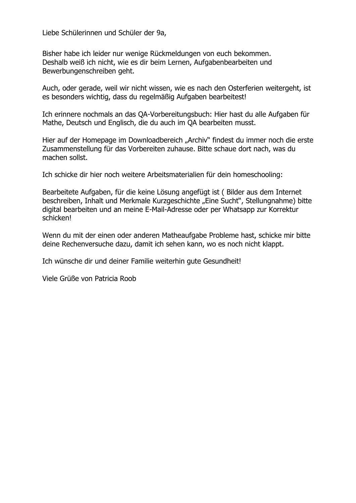Liebe Schülerinnen und Schüler der 9a,

Bisher habe ich leider nur wenige Rückmeldungen von euch bekommen. Deshalb weiß ich nicht, wie es dir beim Lernen, Aufgabenbearbeiten und Bewerbungenschreiben geht.

Auch, oder gerade, weil wir nicht wissen, wie es nach den Osterferien weitergeht, ist es besonders wichtig, dass du regelmäßig Aufgaben bearbeitest!

Ich erinnere nochmals an das QA-Vorbereitungsbuch: Hier hast du alle Aufgaben für Mathe, Deutsch und Englisch, die du auch im QA bearbeiten musst.

Hier auf der Homepage im Downloadbereich "Archiv" findest du immer noch die erste Zusammenstellung für das Vorbereiten zuhause. Bitte schaue dort nach, was du machen sollst.

Ich schicke dir hier noch weitere Arbeitsmaterialien für dein homeschooling:

Bearbeitete Aufgaben, für die keine Lösung angefügt ist ( Bilder aus dem Internet beschreiben, Inhalt und Merkmale Kurzgeschichte "Eine Sucht", Stellungnahme) bitte digital bearbeiten und an meine E-Mail-Adresse oder per Whatsapp zur Korrektur schicken!

Wenn du mit der einen oder anderen Matheaufgabe Probleme hast, schicke mir bitte deine Rechenversuche dazu, damit ich sehen kann, wo es noch nicht klappt.

Ich wünsche dir und deiner Familie weiterhin gute Gesundheit!

Viele Grüße von Patricia Roob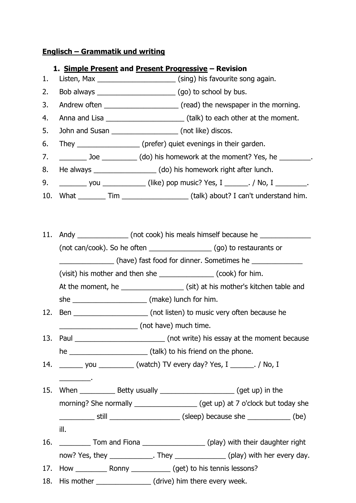# **Englisch – Grammatik und writing**

# **1. Simple Present and Present Progressive – Revision**

- 1. Listen, Max \_\_\_\_\_\_\_\_\_\_\_\_\_\_\_\_\_\_\_\_\_\_\_\_(sing) his favourite song again.
- 2. Bob always \_\_\_\_\_\_\_\_\_\_\_\_\_\_\_\_\_\_\_\_ (go) to school by bus.
- 3. Andrew often **Example 2.** (read) the newspaper in the morning.
- 4. Anna and Lisa \_\_\_\_\_\_\_\_\_\_\_\_\_\_\_\_\_\_\_\_ (talk) to each other at the moment.
- 5. John and Susan \_\_\_\_\_\_\_\_\_\_\_\_\_\_\_\_\_\_\_ (not like) discos.
- 6. They \_\_\_\_\_\_\_\_\_\_\_\_\_\_\_\_\_ (prefer) quiet evenings in their garden.
- 7. \_\_\_\_\_\_\_\_\_\_\_ Joe \_\_\_\_\_\_\_\_\_\_\_\_ (do) his homework at the moment? Yes, he \_\_\_\_\_\_\_\_.
- 8. He always \_\_\_\_\_\_\_\_\_\_\_\_\_\_\_\_ (do) his homework right after lunch.
- 9. \_\_\_\_\_\_\_\_\_\_\_ you \_\_\_\_\_\_\_\_\_\_\_\_\_\_\_(like) pop music? Yes, I \_\_\_\_\_\_\_. / No, I \_\_\_\_\_\_\_\_.
- 10. What \_\_\_\_\_\_\_\_ Tim \_\_\_\_\_\_\_\_\_\_\_\_\_\_\_\_\_\_\_ (talk) about? I can't understand him.
- 11. Andy \_\_\_\_\_\_\_\_\_\_\_\_\_\_ (not cook) his meals himself because he \_\_\_\_\_\_\_\_\_\_\_\_\_\_\_\_ (not can/cook). So he often \_\_\_\_\_\_\_\_\_\_\_\_\_\_\_\_ (go) to restaurants or \_\_\_\_\_\_\_\_\_\_\_\_\_\_ (have) fast food for dinner. Sometimes he \_\_\_\_\_\_\_\_\_\_\_\_\_ (visit) his mother and then she \_\_\_\_\_\_\_\_\_\_\_\_\_\_ (cook) for him. At the moment, he \_\_\_\_\_\_\_\_\_\_\_\_\_\_\_\_\_\_\_\_\_\_(sit) at his mother's kitchen table and she  $\blacksquare$  (make) lunch for him.
- 12. Ben \_\_\_\_\_\_\_\_\_\_\_\_\_\_\_\_\_\_\_\_\_\_ (not listen) to music very often because he \_\_\_\_\_\_\_\_\_\_\_\_\_\_\_\_\_\_\_\_ (not have) much time.
- 13. Paul \_\_\_\_\_\_\_\_\_\_\_\_\_\_\_\_\_\_\_\_\_\_\_\_\_\_\_\_(not write) his essay at the moment because he \_\_\_\_\_\_\_\_\_\_\_\_\_\_\_\_\_\_\_\_ (talk) to his friend on the phone.
- 14. \_\_\_\_\_\_ you \_\_\_\_\_\_\_\_\_ (watch) TV every day? Yes, I \_\_\_\_\_\_. / No, I

\_\_\_\_\_\_\_\_.

- 15. When \_\_\_\_\_\_\_\_\_\_\_\_\_ Betty usually \_\_\_\_\_\_\_\_\_\_\_\_\_\_\_\_\_\_\_\_\_\_\_\_ (get up) in the morning? She normally \_\_\_\_\_\_\_\_\_\_\_\_\_\_\_\_\_\_\_\_\_\_\_\_ (get up) at 7 o'clock but today she \_\_\_\_\_\_\_\_\_ still \_\_\_\_\_\_\_\_\_\_\_\_\_\_\_\_\_\_ (sleep) because she \_\_\_\_\_\_\_\_\_\_\_ (be) ill.
- 16. \_\_\_\_\_\_\_\_\_ Tom and Fiona \_\_\_\_\_\_\_\_\_\_\_\_\_\_\_\_\_(play) with their daughter right now? Yes, they extended a set of the They and the every day.

17. How \_\_\_\_\_\_\_\_ Ronny \_\_\_\_\_\_\_\_\_\_ (get) to his tennis lessons?

18. His mother **the contract of the set of the set of the set of the set of the set of the set of the set of the set of the set of the set of the set of the set of the set of the set of the set of the set of the set of the**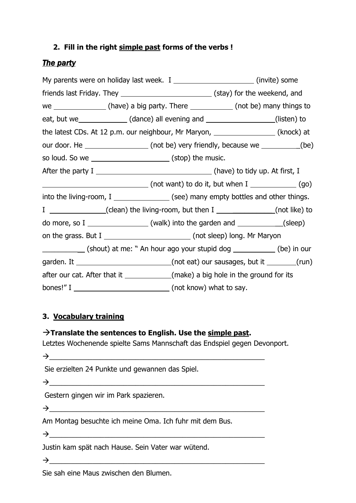# **2. Fill in the right simple past forms of the verbs !**

# *The party*

| My parents were on holiday last week. I _______________________(invite) some             |                                                                                                                              |                                                                 |  |  |
|------------------------------------------------------------------------------------------|------------------------------------------------------------------------------------------------------------------------------|-----------------------------------------------------------------|--|--|
| friends last Friday. They ___________________________________(stay) for the weekend, and |                                                                                                                              |                                                                 |  |  |
|                                                                                          | we $\_\_\_\_\_\_\_\_\_\_\_\_\_\_\_\_\_$ (have) a big party. There $\_\_\_\_\_\_\_\_\_\_\_\_\_\_\_\_$ (not be) many things to |                                                                 |  |  |
|                                                                                          | eat, but we ________________(dance) all evening and ___________________(listen) to                                           |                                                                 |  |  |
| the latest CDs. At 12 p.m. our neighbour, Mr Maryon, _________________(knock) at         |                                                                                                                              |                                                                 |  |  |
|                                                                                          |                                                                                                                              |                                                                 |  |  |
|                                                                                          |                                                                                                                              | so loud. So we _______________________________(stop) the music. |  |  |
|                                                                                          |                                                                                                                              |                                                                 |  |  |
|                                                                                          |                                                                                                                              |                                                                 |  |  |
| into the living-room, I ___________________(see) many empty bottles and other things.    |                                                                                                                              |                                                                 |  |  |
|                                                                                          | I ______________(clean) the living-room, but then I _____________(not like) to                                               |                                                                 |  |  |
|                                                                                          | do more, so I _____________________(walk) into the garden and ____________(sleep)                                            |                                                                 |  |  |
|                                                                                          |                                                                                                                              |                                                                 |  |  |
| _____________(shout) at me: " An hour ago your stupid dog ____________(be) in our        |                                                                                                                              |                                                                 |  |  |
|                                                                                          |                                                                                                                              |                                                                 |  |  |
|                                                                                          | after our cat. After that it ______________(make) a big hole in the ground for its                                           |                                                                 |  |  |
|                                                                                          |                                                                                                                              |                                                                 |  |  |

# **3. Vocabulary training**

# **Translate the sentences to English. Use the simple past.**

Letztes Wochenende spielte Sams Mannschaft das Endspiel gegen Devonport.

 $\rightarrow$ 

Sie erzielten 24 Punkte und gewannen das Spiel.

 $\rightarrow$ 

Gestern gingen wir im Park spazieren.

 $\rightarrow$ 

Am Montag besuchte ich meine Oma. Ich fuhr mit dem Bus.

 $\rightarrow$ 

Justin kam spät nach Hause. Sein Vater war wütend.

 $\rightarrow$ 

Sie sah eine Maus zwischen den Blumen.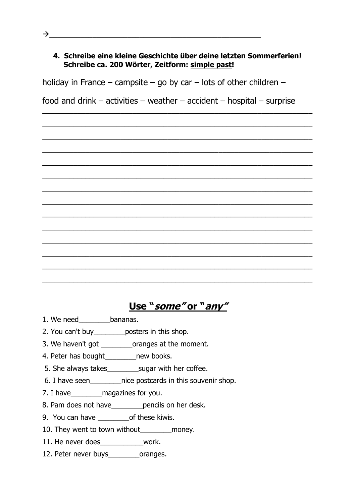### **4. Schreibe eine kleine Geschichte über deine letzten Sommerferien! Schreibe ca. 200 Wörter, Zeitform: simple past!**

holiday in France – campsite – go by car – lots of other children –

food and drink – activities – weather – accident – hospital – surprise

\_\_\_\_\_\_\_\_\_\_\_\_\_\_\_\_\_\_\_\_\_\_\_\_\_\_\_\_\_\_\_\_\_\_\_\_\_\_\_\_\_\_\_\_\_\_\_\_\_\_\_\_\_\_\_\_\_\_\_\_\_\_\_\_\_\_\_\_\_

\_\_\_\_\_\_\_\_\_\_\_\_\_\_\_\_\_\_\_\_\_\_\_\_\_\_\_\_\_\_\_\_\_\_\_\_\_\_\_\_\_\_\_\_\_\_\_\_\_\_\_\_\_\_\_\_\_\_\_\_\_\_\_\_\_\_\_\_\_

\_\_\_\_\_\_\_\_\_\_\_\_\_\_\_\_\_\_\_\_\_\_\_\_\_\_\_\_\_\_\_\_\_\_\_\_\_\_\_\_\_\_\_\_\_\_\_\_\_\_\_\_\_\_\_\_\_\_\_\_\_\_\_\_\_\_\_\_\_

\_\_\_\_\_\_\_\_\_\_\_\_\_\_\_\_\_\_\_\_\_\_\_\_\_\_\_\_\_\_\_\_\_\_\_\_\_\_\_\_\_\_\_\_\_\_\_\_\_\_\_\_\_\_\_\_\_\_\_\_\_\_\_\_\_\_\_\_\_

\_\_\_\_\_\_\_\_\_\_\_\_\_\_\_\_\_\_\_\_\_\_\_\_\_\_\_\_\_\_\_\_\_\_\_\_\_\_\_\_\_\_\_\_\_\_\_\_\_\_\_\_\_\_\_\_\_\_\_\_\_\_\_\_\_\_\_\_\_

\_\_\_\_\_\_\_\_\_\_\_\_\_\_\_\_\_\_\_\_\_\_\_\_\_\_\_\_\_\_\_\_\_\_\_\_\_\_\_\_\_\_\_\_\_\_\_\_\_\_\_\_\_\_\_\_\_\_\_\_\_\_\_\_\_\_\_\_\_

\_\_\_\_\_\_\_\_\_\_\_\_\_\_\_\_\_\_\_\_\_\_\_\_\_\_\_\_\_\_\_\_\_\_\_\_\_\_\_\_\_\_\_\_\_\_\_\_\_\_\_\_\_\_\_\_\_\_\_\_\_\_\_\_\_\_\_\_\_

\_\_\_\_\_\_\_\_\_\_\_\_\_\_\_\_\_\_\_\_\_\_\_\_\_\_\_\_\_\_\_\_\_\_\_\_\_\_\_\_\_\_\_\_\_\_\_\_\_\_\_\_\_\_\_\_\_\_\_\_\_\_\_\_\_\_\_\_\_

\_\_\_\_\_\_\_\_\_\_\_\_\_\_\_\_\_\_\_\_\_\_\_\_\_\_\_\_\_\_\_\_\_\_\_\_\_\_\_\_\_\_\_\_\_\_\_\_\_\_\_\_\_\_\_\_\_\_\_\_\_\_\_\_\_\_\_\_\_

\_\_\_\_\_\_\_\_\_\_\_\_\_\_\_\_\_\_\_\_\_\_\_\_\_\_\_\_\_\_\_\_\_\_\_\_\_\_\_\_\_\_\_\_\_\_\_\_\_\_\_\_\_\_\_\_\_\_\_\_\_\_\_\_\_\_\_\_\_

\_\_\_\_\_\_\_\_\_\_\_\_\_\_\_\_\_\_\_\_\_\_\_\_\_\_\_\_\_\_\_\_\_\_\_\_\_\_\_\_\_\_\_\_\_\_\_\_\_\_\_\_\_\_\_\_\_\_\_\_\_\_\_\_\_\_\_\_\_

\_\_\_\_\_\_\_\_\_\_\_\_\_\_\_\_\_\_\_\_\_\_\_\_\_\_\_\_\_\_\_\_\_\_\_\_\_\_\_\_\_\_\_\_\_\_\_\_\_\_\_\_\_\_\_\_\_\_\_\_\_\_\_\_\_\_\_\_\_

\_\_\_\_\_\_\_\_\_\_\_\_\_\_\_\_\_\_\_\_\_\_\_\_\_\_\_\_\_\_\_\_\_\_\_\_\_\_\_\_\_\_\_\_\_\_\_\_\_\_\_\_\_\_\_\_\_\_\_\_\_\_\_\_\_\_\_\_\_

\_\_\_\_\_\_\_\_\_\_\_\_\_\_\_\_\_\_\_\_\_\_\_\_\_\_\_\_\_\_\_\_\_\_\_\_\_\_\_\_\_\_\_\_\_\_\_\_\_\_\_\_\_\_\_\_\_\_\_\_\_\_\_\_\_\_\_\_\_

**Use "some" or "any"**

- 1. We need bananas.
- 2. You can't buy\_\_\_\_\_\_\_\_posters in this shop.
- 3. We haven't got \_\_\_\_\_\_\_\_oranges at the moment.
- 4. Peter has bought\_\_\_\_\_\_\_\_new books.
- 5. She always takes\_\_\_\_\_\_\_\_sugar with her coffee.
- 6. I have seen\_\_\_\_\_\_\_\_nice postcards in this souvenir shop.
- 7. I have\_\_\_\_\_\_\_\_magazines for you.
- 8. Pam does not have\_\_\_\_\_\_\_\_pencils on her desk.
- 9. You can have \_\_\_\_\_\_\_\_\_\_\_\_\_\_of these kiwis.
- 10. They went to town without\_\_\_\_\_\_\_\_money.
- 11. He never does work.
- 12. Peter never buys oranges.

 $\rightarrow$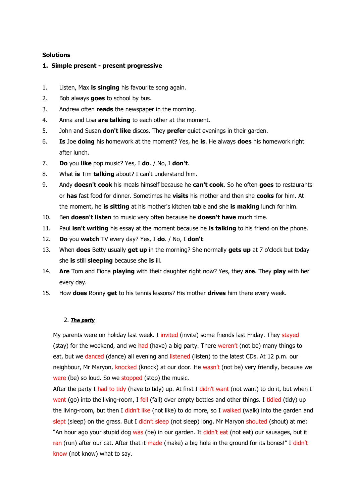### **Solutions**

### **1. Simple present - present progressive**

- 1. Listen, Max **is singing** his favourite song again.
- 2. Bob always **goes** to school by bus.
- 3. Andrew often **reads** the newspaper in the morning.
- 4. Anna and Lisa **are talking** to each other at the moment.
- 5. John and Susan **don't like** discos. They **prefer** quiet evenings in their garden.
- 6. **Is** Joe **doing** his homework at the moment? Yes, he **is**. He always **does** his homework right after lunch.
- 7. **Do** you **like** pop music? Yes, I **do**. / No, I **don't**.
- 8. What **is** Tim **talking** about? I can't understand him.
- 9. Andy **doesn't cook** his meals himself because he **can't cook**. So he often **goes** to restaurants or **has** fast food for dinner. Sometimes he **visits** his mother and then she **cooks** for him. At the moment, he **is sitting** at his mother's kitchen table and she **is making** lunch for him.
- 10. Ben **doesn't listen** to music very often because he **doesn't have** much time.
- 11. Paul **isn't writing** his essay at the moment because he **is talking** to his friend on the phone.
- 12. **Do** you **watch** TV every day? Yes, I **do**. / No, I **don't**.
- 13. When **does** Betty usually **get up** in the morning? She normally **gets up** at 7 o'clock but today she **is** still **sleeping** because she **is** ill.
- 14. **Are** Tom and Fiona **playing** with their daughter right now? Yes, they **are**. They **play** with her every day.
- 15. How **does** Ronny **get** to his tennis lessons? His mother **drives** him there every week.

### 2. *The party*

My parents were on holiday last week. I invited (invite) some friends last Friday. They stayed (stay) for the weekend, and we had (have) a big party. There weren't (not be) many things to eat, but we danced (dance) all evening and listened (listen) to the latest CDs. At 12 p.m. our neighbour, Mr Maryon, knocked (knock) at our door. He wasn't (not be) very friendly, because we were (be) so loud. So we stopped (stop) the music.

After the party I had to tidy (have to tidy) up. At first I didn't want (not want) to do it, but when I went (go) into the living-room, I fell (fall) over empty bottles and other things. I tidied (tidy) up the living-room, but then I didn't like (not like) to do more, so I walked (walk) into the garden and slept (sleep) on the grass. But I didn't sleep (not sleep) long. Mr Maryon shouted (shout) at me: "An hour ago your stupid dog was (be) in our garden. It didn't eat (not eat) our sausages, but it ran (run) after our cat. After that it made (make) a big hole in the ground for its bones!" I didn't know (not know) what to say.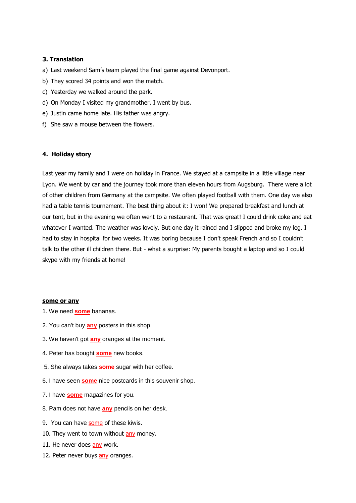### **3. Translation**

- a) Last weekend Sam's team played the final game against Devonport.
- b) They scored 34 points and won the match.
- c) Yesterday we walked around the park.
- d) On Monday I visited my grandmother. I went by bus.
- e) Justin came home late. His father was angry.
- f) She saw a mouse between the flowers.

### **4. Holiday story**

Last year my family and I were on holiday in France. We stayed at a campsite in a little village near Lyon. We went by car and the journey took more than eleven hours from Augsburg. There were a lot of other children from Germany at the campsite. We often played football with them. One day we also had a table tennis tournament. The best thing about it: I won! We prepared breakfast and lunch at our tent, but in the evening we often went to a restaurant. That was great! I could drink coke and eat whatever I wanted. The weather was lovely. But one day it rained and I slipped and broke my leg. I had to stay in hospital for two weeks. It was boring because I don't speak French and so I couldn't talk to the other ill children there. But - what a surprise: My parents bought a laptop and so I could skype with my friends at home!

#### **some or any**

- 1. We need **some** bananas.
- 2. You can't buy **any** posters in this shop.
- 3. We haven't got **any** oranges at the moment.
- 4. Peter has bought **some** new books.
- 5. She always takes **some** sugar with her coffee.
- 6. I have seen **some** nice postcards in this souvenir shop.
- 7. I have **some** magazines for you.
- 8. Pam does not have **any** pencils on her desk.
- 9. You can have some of these kiwis.
- 10. They went to town without any money.
- 11. He never does any work.
- 12. Peter never buys any oranges.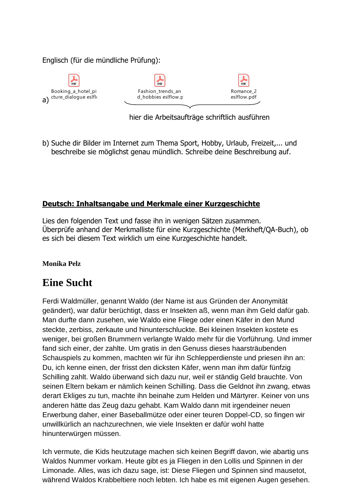### Englisch (für die mündliche Prüfung):



 $\frac{6}{10}$ Fashion trends an d\_hobbies eslflow.p



hier die Arbeitsaufträge schriftlich ausführen

b) Suche dir Bilder im Internet zum Thema Sport, Hobby, Urlaub, Freizeit,... und beschreibe sie möglichst genau mündlich. Schreibe deine Beschreibung auf.

# **Deutsch: Inhaltsangabe und Merkmale einer Kurzgeschichte**

Lies den folgenden Text und fasse ihn in wenigen Sätzen zusammen. Überprüfe anhand der Merkmalliste für eine Kurzgeschichte (Merkheft/QA-Buch), ob es sich bei diesem Text wirklich um eine Kurzgeschichte handelt.

### **Monika Pelz**

# **Eine Sucht**

Ferdi Waldmüller, genannt Waldo (der Name ist aus Gründen der Anonymität geändert), war dafür berüchtigt, dass er Insekten aß, wenn man ihm Geld dafür gab. Man durfte dann zusehen, wie Waldo eine Fliege oder einen Käfer in den Mund steckte, zerbiss, zerkaute und hinunterschluckte. Bei kleinen Insekten kostete es weniger, bei großen Brummern verlangte Waldo mehr für die Vorführung. Und immer fand sich einer, der zahlte. Um gratis in den Genuss dieses haarsträubenden Schauspiels zu kommen, machten wir für ihn Schlepperdienste und priesen ihn an: Du, ich kenne einen, der frisst den dicksten Käfer, wenn man ihm dafür fünfzig Schilling zahlt. Waldo überwand sich dazu nur, weil er ständig Geld brauchte. Von seinen Eltern bekam er nämlich keinen Schilling. Dass die Geldnot ihn zwang, etwas derart Ekliges zu tun, machte ihn beinahe zum Helden und Märtyrer. Keiner von uns anderen hätte das Zeug dazu gehabt. Kam Waldo dann mit irgendeiner neuen Erwerbung daher, einer Baseballmütze oder einer teuren Doppel-CD, so fingen wir unwillkürlich an nachzurechnen, wie viele Insekten er dafür wohl hatte hinunterwürgen müssen.

Ich vermute, die Kids heutzutage machen sich keinen Begriff davon, wie abartig uns Waldos Nummer vorkam. Heute gibt es ja Fliegen in den Lollis und Spinnen in der Limonade. Alles, was ich dazu sage, ist: Diese Fliegen und Spinnen sind mausetot, während Waldos Krabbeltiere noch lebten. Ich habe es mit eigenen Augen gesehen.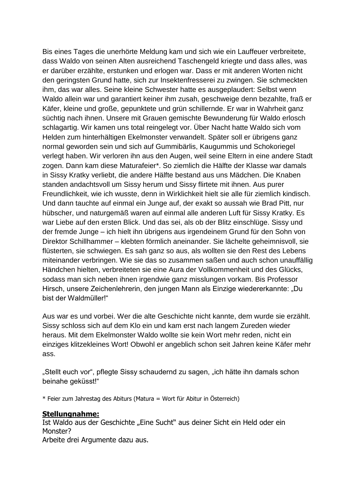Bis eines Tages die unerhörte Meldung kam und sich wie ein Lauffeuer verbreitete, dass Waldo von seinen Alten ausreichend Taschengeld kriegte und dass alles, was er darüber erzählte, erstunken und erlogen war. Dass er mit anderen Worten nicht den geringsten Grund hatte, sich zur Insektenfresserei zu zwingen. Sie schmeckten ihm, das war alles. Seine kleine Schwester hatte es ausgeplaudert: Selbst wenn Waldo allein war und garantiert keiner ihm zusah, geschweige denn bezahlte, fraß er Käfer, kleine und große, gepunktete und grün schillernde. Er war in Wahrheit ganz süchtig nach ihnen. Unsere mit Grauen gemischte Bewunderung für Waldo erlosch schlagartig. Wir kamen uns total reingelegt vor. Über Nacht hatte Waldo sich vom Helden zum hinterhältigen Ekelmonster verwandelt. Später soll er übrigens ganz normal geworden sein und sich auf Gummibärlis, Kaugummis und Schokoriegel verlegt haben. Wir verloren ihn aus den Augen, weil seine Eltern in eine andere Stadt zogen. Dann kam diese Maturafeier\*. So ziemlich die Hälfte der Klasse war damals in Sissy Kratky verliebt, die andere Hälfte bestand aus uns Mädchen. Die Knaben standen andachtsvoll um Sissy herum und Sissy flirtete mit ihnen. Aus purer Freundlichkeit, wie ich wusste, denn in Wirklichkeit hielt sie alle für ziemlich kindisch. Und dann tauchte auf einmal ein Junge auf, der exakt so aussah wie Brad Pitt, nur hübscher, und naturgemäß waren auf einmal alle anderen Luft für Sissy Kratky. Es war Liebe auf den ersten Blick. Und das sei, als ob der Blitz einschlüge. Sissy und der fremde Junge – ich hielt ihn übrigens aus irgendeinem Grund für den Sohn von Direktor Schillhammer – klebten förmlich aneinander. Sie lächelte geheimnisvoll, sie flüsterten, sie schwiegen. Es sah ganz so aus, als wollten sie den Rest des Lebens miteinander verbringen. Wie sie das so zusammen saßen und auch schon unauffällig Händchen hielten, verbreiteten sie eine Aura der Vollkommenheit und des Glücks, sodass man sich neben ihnen irgendwie ganz misslungen vorkam. Bis Professor Hirsch, unsere Zeichenlehrerin, den jungen Mann als Einzige wiedererkannte: "Du bist der Waldmüller!"

Aus war es und vorbei. Wer die alte Geschichte nicht kannte, dem wurde sie erzählt. Sissy schloss sich auf dem Klo ein und kam erst nach langem Zureden wieder heraus. Mit dem Ekelmonster Waldo wollte sie kein Wort mehr reden, nicht ein einziges klitzekleines Wort! Obwohl er angeblich schon seit Jahren keine Käfer mehr ass.

"Stellt euch vor", pflegte Sissy schaudernd zu sagen, "ich hätte ihn damals schon beinahe geküsst!"

\* Feier zum Jahrestag des Abiturs (Matura = Wort für Abitur in Österreich)

### **Stellungnahme:**

Ist Waldo aus der Geschichte "Eine Sucht" aus deiner Sicht ein Held oder ein Monster? Arbeite drei Argumente dazu aus.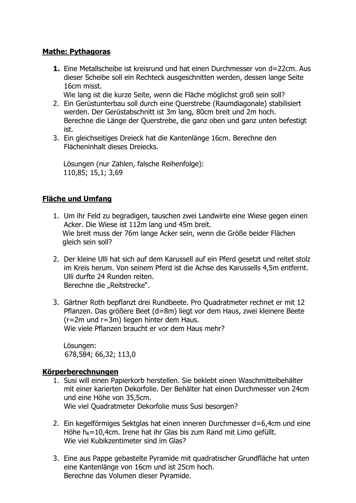### **Mathe: Pythagoras**

**1.** Eine Metallscheibe ist kreisrund und hat einen Durchmesser von d=22cm. Aus dieser Scheibe soll ein Rechteck ausgeschnitten werden, dessen lange Seite 16cm misst.

Wie lang ist die kurze Seite, wenn die Fläche möglichst groß sein soll?

- 2. Ein Gerüstunterbau soll durch eine Querstrebe (Raumdiagonale) stabilisiert werden. Der Gerüstabschnitt ist 3m lang, 80cm breit und 2m hoch. Berechne die Länge der Querstrebe, die ganz oben und ganz unten befestigt ist.
- 3. Ein gleichseitiges Dreieck hat die Kantenlänge 16cm. Berechne den Flächeninhalt dieses Dreiecks.

Lösungen (nur Zahlen, falsche Reihenfolge): 110,85; 15,1; 3,69

### **Fläche und Umfang**

- 1. Um ihr Feld zu begradigen, tauschen zwei Landwirte eine Wiese gegen einen Acker. Die Wiese ist 112m lang und 45m breit. Wie breit muss der 76m lange Acker sein, wenn die Größe beider Flächen gleich sein soll?
- 2. Der kleine Ulli hat sich auf dem Karussell auf ein Pferd gesetzt und reitet stolz im Kreis herum. Von seinem Pferd ist die Achse des Karussells 4,5m entfernt. Ulli durfte 24 Runden reiten. Berechne die "Reitstrecke".
- 3. Gärtner Roth bepflanzt drei Rundbeete. Pro Quadratmeter rechnet er mit 12 Pflanzen. Das größere Beet (d=8m) liegt vor dem Haus, zwei kleinere Beete (r=2m und r=3m) liegen hinter dem Haus. Wie viele Pflanzen braucht er vor dem Haus mehr?

Lösungen: 678,584; 66,32; 113,0

### **Körperberechnungen**

- 1. Susi will einen Papierkorb herstellen. Sie beklebt einen Waschmittelbehälter mit einer karierten Dekorfolie. Der Behälter hat einen Durchmesser von 24cm und eine Höhe von 35,5cm. Wie viel Quadratmeter Dekorfolie muss Susi besorgen?
- 2. Ein kegelförmiges Sektglas hat einen inneren Durchmesser d=6,4cm und eine Höhe  $h_{K}=10,4$ cm. Irene hat ihr Glas bis zum Rand mit Limo gefüllt. Wie viel Kubikzentimeter sind im Glas?
- 3. Eine aus Pappe gebastelte Pyramide mit quadratischer Grundfläche hat unten eine Kantenlänge von 16cm und ist 25cm hoch. Berechne das Volumen dieser Pyramide.